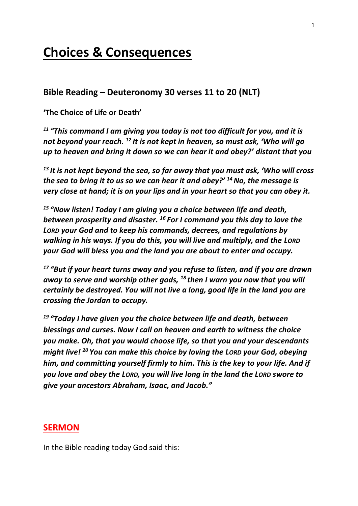# **Choices & Consequences**

#### **Bible Reading – Deuteronomy 30 verses 11 to 20 (NLT)**

**'The Choice of Life or Death'**

*<sup>11</sup> "This command I am giving you today is not too difficult for you, and it is not beyond your reach. <sup>12</sup> It is not kept in heaven, so must ask, 'Who will go up to heaven and bring it down so we can hear it and obey?' distant that you*

*<sup>13</sup> It is not kept beyond the sea, so far away that you must ask, 'Who will cross the sea to bring it to us so we can hear it and obey?' <sup>14</sup>No, the message is very close at hand; it is on your lips and in your heart so that you can obey it.*

*<sup>15</sup> "Now listen! Today I am giving you a choice between life and death, between prosperity and disaster. <sup>16</sup> For I command you this day to love the LORD your God and to keep his commands, decrees, and regulations by walking in his ways. If you do this, you will live and multiply, and the LORD your God will bless you and the land you are about to enter and occupy.*

*<sup>17</sup> "But if your heart turns away and you refuse to listen, and if you are drawn away to serve and worship other gods, <sup>18</sup> then I warn you now that you will certainly be destroyed. You will not live a long, good life in the land you are crossing the Jordan to occupy.*

*<sup>19</sup> "Today I have given you the choice between life and death, between blessings and curses. Now I call on heaven and earth to witness the choice you make. Oh, that you would choose life, so that you and your descendants might live! <sup>20</sup> You can make this choice by loving the LORD your God, obeying him, and committing yourself firmly to him. This is the key to your life. And if you love and obey the LORD, you will live long in the land the LORD swore to give your ancestors Abraham, Isaac, and Jacob."*

#### **SERMON**

In the Bible reading today God said this: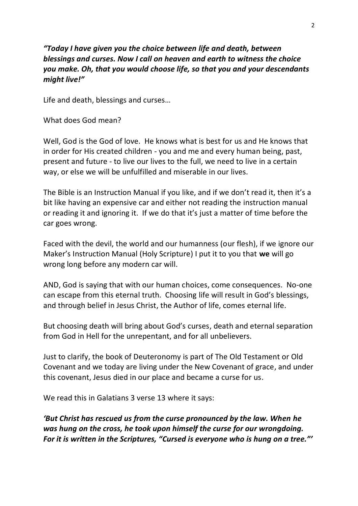*"Today I have given you the choice between life and death, between blessings and curses. Now I call on heaven and earth to witness the choice you make. Oh, that you would choose life, so that you and your descendants might live!"*

Life and death, blessings and curses…

What does God mean?

Well, God is the God of love. He knows what is best for us and He knows that in order for His created children - you and me and every human being, past, present and future - to live our lives to the full, we need to live in a certain way, or else we will be unfulfilled and miserable in our lives.

The Bible is an Instruction Manual if you like, and if we don't read it, then it's a bit like having an expensive car and either not reading the instruction manual or reading it and ignoring it. If we do that it's just a matter of time before the car goes wrong.

Faced with the devil, the world and our humanness (our flesh), if we ignore our Maker's Instruction Manual (Holy Scripture) I put it to you that **we** will go wrong long before any modern car will.

AND, God is saying that with our human choices, come consequences. No-one can escape from this eternal truth. Choosing life will result in God's blessings, and through belief in Jesus Christ, the Author of life, comes eternal life.

But choosing death will bring about God's curses, death and eternal separation from God in Hell for the unrepentant, and for all unbelievers.

Just to clarify, the book of Deuteronomy is part of The Old Testament or Old Covenant and we today are living under the New Covenant of grace, and under this covenant, Jesus died in our place and became a curse for us.

We read this in Galatians 3 verse 13 where it says:

*'But Christ has rescued us from the curse pronounced by the law. When he was hung on the cross, he took upon himself the curse for our wrongdoing. For it is written in the Scriptures, "Cursed is everyone who is hung on a tree."'*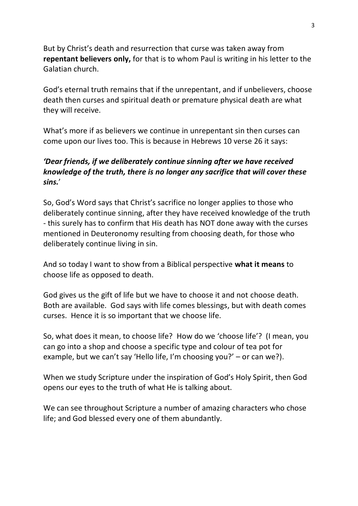But by Christ's death and resurrection that curse was taken away from **repentant believers only,** for that is to whom Paul is writing in his letter to the Galatian church.

God's eternal truth remains that if the unrepentant, and if unbelievers, choose death then curses and spiritual death or premature physical death are what they will receive.

What's more if as believers we continue in unrepentant sin then curses can come upon our lives too. This is because in Hebrews 10 verse 26 it says:

#### *'Dear friends, if we deliberately continue sinning after we have received knowledge of the truth, there is no longer any sacrifice that will cover these sins.*'

So, God's Word says that Christ's sacrifice no longer applies to those who deliberately continue sinning, after they have received knowledge of the truth - this surely has to confirm that His death has NOT done away with the curses mentioned in Deuteronomy resulting from choosing death, for those who deliberately continue living in sin.

And so today I want to show from a Biblical perspective **what it means** to choose life as opposed to death.

God gives us the gift of life but we have to choose it and not choose death. Both are available. God says with life comes blessings, but with death comes curses. Hence it is so important that we choose life.

So, what does it mean, to choose life? How do we 'choose life'? (I mean, you can go into a shop and choose a specific type and colour of tea pot for example, but we can't say 'Hello life, I'm choosing you?' – or can we?).

When we study Scripture under the inspiration of God's Holy Spirit, then God opens our eyes to the truth of what He is talking about.

We can see throughout Scripture a number of amazing characters who chose life; and God blessed every one of them abundantly.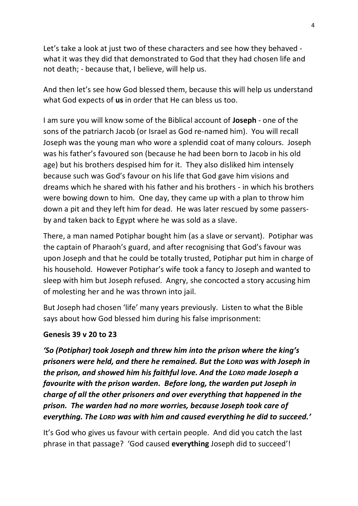Let's take a look at just two of these characters and see how they behaved what it was they did that demonstrated to God that they had chosen life and not death; - because that, I believe, will help us.

And then let's see how God blessed them, because this will help us understand what God expects of **us** in order that He can bless us too.

I am sure you will know some of the Biblical account of **Joseph** - one of the sons of the patriarch Jacob (or Israel as God re-named him). You will recall Joseph was the young man who wore a splendid coat of many colours. Joseph was his father's favoured son (because he had been born to Jacob in his old age) but his brothers despised him for it. They also disliked him intensely because such was God's favour on his life that God gave him visions and dreams which he shared with his father and his brothers - in which his brothers were bowing down to him. One day, they came up with a plan to throw him down a pit and they left him for dead. He was later rescued by some passersby and taken back to Egypt where he was sold as a slave.

There, a man named Potiphar bought him (as a slave or servant). Potiphar was the captain of Pharaoh's guard, and after recognising that God's favour was upon Joseph and that he could be totally trusted, Potiphar put him in charge of his household. However Potiphar's wife took a fancy to Joseph and wanted to sleep with him but Joseph refused. Angry, she concocted a story accusing him of molesting her and he was thrown into jail.

But Joseph had chosen 'life' many years previously. Listen to what the Bible says about how God blessed him during his false imprisonment:

#### **Genesis 39 v 20 to 23**

*'So (Potiphar) took Joseph and threw him into the prison where the king's prisoners were held, and there he remained. But the LORD was with Joseph in the prison, and showed him his faithful love. And the LORD made Joseph a favourite with the prison warden. Before long, the warden put Joseph in charge of all the other prisoners and over everything that happened in the prison. The warden had no more worries, because Joseph took care of everything. The LORD was with him and caused everything he did to succeed.'*

It's God who gives us favour with certain people. And did you catch the last phrase in that passage? 'God caused **everything** Joseph did to succeed'!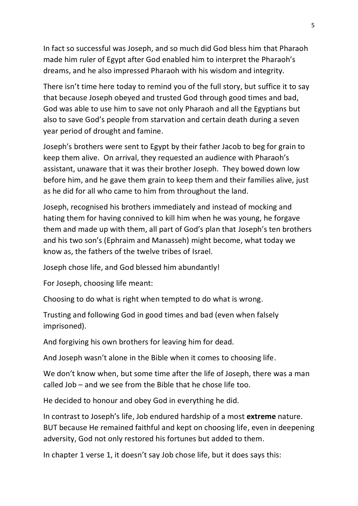In fact so successful was Joseph, and so much did God bless him that Pharaoh made him ruler of Egypt after God enabled him to interpret the Pharaoh's dreams, and he also impressed Pharaoh with his wisdom and integrity.

There isn't time here today to remind you of the full story, but suffice it to say that because Joseph obeyed and trusted God through good times and bad, God was able to use him to save not only Pharaoh and all the Egyptians but also to save God's people from starvation and certain death during a seven year period of drought and famine.

Joseph's brothers were sent to Egypt by their father Jacob to beg for grain to keep them alive. On arrival, they requested an audience with Pharaoh's assistant, unaware that it was their brother Joseph. They bowed down low before him, and he gave them grain to keep them and their families alive, just as he did for all who came to him from throughout the land.

Joseph, recognised his brothers immediately and instead of mocking and hating them for having connived to kill him when he was young, he forgave them and made up with them, all part of God's plan that Joseph's ten brothers and his two son's (Ephraim and Manasseh) might become, what today we know as, the fathers of the twelve tribes of Israel.

Joseph chose life, and God blessed him abundantly!

For Joseph, choosing life meant:

Choosing to do what is right when tempted to do what is wrong.

Trusting and following God in good times and bad (even when falsely imprisoned).

And forgiving his own brothers for leaving him for dead.

And Joseph wasn't alone in the Bible when it comes to choosing life.

We don't know when, but some time after the life of Joseph, there was a man called Job – and we see from the Bible that he chose life too.

He decided to honour and obey God in everything he did.

In contrast to Joseph's life, Job endured hardship of a most **extreme** nature. BUT because He remained faithful and kept on choosing life, even in deepening adversity, God not only restored his fortunes but added to them.

In chapter 1 verse 1, it doesn't say Job chose life, but it does says this: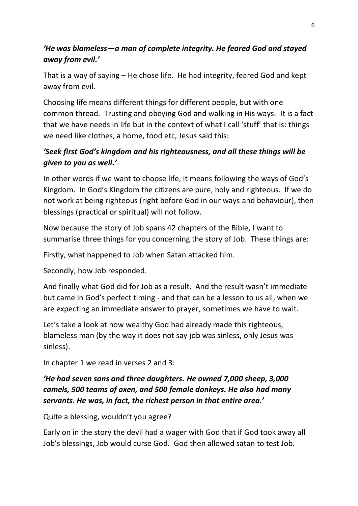## *'He was blameless—a man of complete integrity. He feared God and stayed away from evil.'*

That is a way of saying – He chose life. He had integrity, feared God and kept away from evil.

Choosing life means different things for different people, but with one common thread. Trusting and obeying God and walking in His ways. It is a fact that we have needs in life but in the context of what I call 'stuff' that is: things we need like clothes, a home, food etc, Jesus said this:

#### *'Seek first God's kingdom and his righteousness, and all these things will be given to you as well.'*

In other words if we want to choose life, it means following the ways of God's Kingdom. In God's Kingdom the citizens are pure, holy and righteous. If we do not work at being righteous (right before God in our ways and behaviour), then blessings (practical or spiritual) will not follow.

Now because the story of Job spans 42 chapters of the Bible, I want to summarise three things for you concerning the story of Job. These things are:

Firstly, what happened to Job when Satan attacked him.

Secondly, how Job responded.

And finally what God did for Job as a result. And the result wasn't immediate but came in God's perfect timing - and that can be a lesson to us all, when we are expecting an immediate answer to prayer, sometimes we have to wait.

Let's take a look at how wealthy God had already made this righteous, blameless man (by the way it does not say job was sinless, only Jesus was sinless).

In chapter 1 we read in verses 2 and 3:

#### *'He had seven sons and three daughters. He owned 7,000 sheep, 3,000 camels, 500 teams of oxen, and 500 female donkeys. He also had many servants. He was, in fact, the richest person in that entire area.'*

Quite a blessing, wouldn't you agree?

Early on in the story the devil had a wager with God that if God took away all Job's blessings, Job would curse God. God then allowed satan to test Job.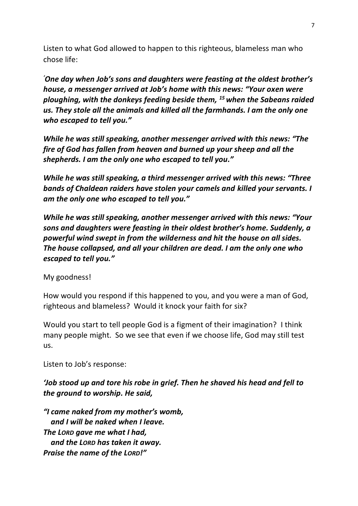Listen to what God allowed to happen to this righteous, blameless man who chose life:

*'One day when Job's sons and daughters were feasting at the oldest brother's house, a messenger arrived at Job's home with this news: "Your oxen were ploughing, with the donkeys feeding beside them, <sup>15</sup> when the Sabeans raided us. They stole all the animals and killed all the farmhands. I am the only one who escaped to tell you."*

*While he was still speaking, another messenger arrived with this news: "The fire of God has fallen from heaven and burned up your sheep and all the shepherds. I am the only one who escaped to tell you."*

*While he was still speaking, a third messenger arrived with this news: "Three bands of Chaldean raiders have stolen your camels and killed your servants. I am the only one who escaped to tell you."*

*While he was still speaking, another messenger arrived with this news: "Your sons and daughters were feasting in their oldest brother's home. Suddenly, a powerful wind swept in from the wilderness and hit the house on all sides. The house collapsed, and all your children are dead. I am the only one who escaped to tell you."*

My goodness!

How would you respond if this happened to you, and you were a man of God, righteous and blameless? Would it knock your faith for six?

Would you start to tell people God is a figment of their imagination? I think many people might. So we see that even if we choose life, God may still test us.

Listen to Job's response:

*'Job stood up and tore his robe in grief. Then he shaved his head and fell to the ground to worship. He said,* 

*"I came naked from my mother's womb, and I will be naked when I leave. The LORD gave me what I had, and the LORD has taken it away. Praise the name of the LORD!"*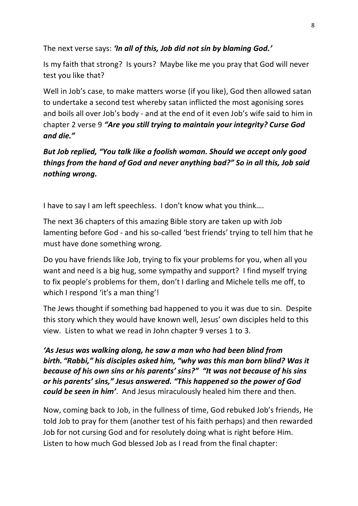The next verse says: *'In all of this, Job did not sin by blaming God.'*

Is my faith that strong? Is yours? Maybe like me you pray that God will never test you like that?

Well in Job's case, to make matters worse (if you like), God then allowed satan to undertake a second test whereby satan inflicted the most agonising sores and boils all over Job's body - and at the end of it even Job's wife said to him in chapter 2 verse 9 *"Are you still trying to maintain your integrity? Curse God and die."*

*But Job replied, "You talk like a foolish woman. Should we accept only good things from the hand of God and never anything bad?" So in all this, Job said nothing wrong.*

I have to say I am left speechless. I don't know what you think….

The next 36 chapters of this amazing Bible story are taken up with Job lamenting before God - and his so-called 'best friends' trying to tell him that he must have done something wrong.

Do you have friends like Job, trying to fix your problems for you, when all you want and need is a big hug, some sympathy and support? I find myself trying to fix people's problems for them, don't I darling and Michele tells me off, to which I respond 'it's a man thing'!

The Jews thought if something bad happened to you it was due to sin. Despite this story which they would have known well, Jesus' own disciples held to this view. Listen to what we read in John chapter 9 verses 1 to 3.

*'As Jesus was walking along, he saw a man who had been blind from birth. "Rabbi," his disciples asked him, "why was this man born blind? Was it because of his own sins or his parents' sins?" "It was not because of his sins or his parents' sins," Jesus answered. "This happened so the power of God could be seen in him'*. And Jesus miraculously healed him there and then.

Now, coming back to Job, in the fullness of time, God rebuked Job's friends, He told Job to pray for them (another test of his faith perhaps) and then rewarded Job for not cursing God and for resolutely doing what is right before Him. Listen to how much God blessed Job as I read from the final chapter: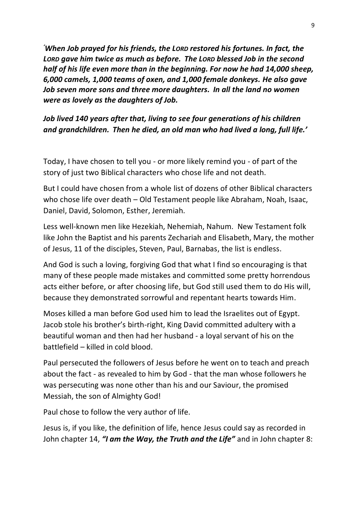*'When Job prayed for his friends, the LORD restored his fortunes. In fact, the LORD gave him twice as much as before. The LORD blessed Job in the second half of his life even more than in the beginning. For now he had 14,000 sheep, 6,000 camels, 1,000 teams of oxen, and 1,000 female donkeys. He also gave Job seven more sons and three more daughters. In all the land no women were as lovely as the daughters of Job.*

*Job lived 140 years after that, living to see four generations of his children and grandchildren. Then he died, an old man who had lived a long, full life.'*

Today, I have chosen to tell you - or more likely remind you - of part of the story of just two Biblical characters who chose life and not death.

But I could have chosen from a whole list of dozens of other Biblical characters who chose life over death – Old Testament people like Abraham, Noah, Isaac, Daniel, David, Solomon, Esther, Jeremiah.

Less well-known men like Hezekiah, Nehemiah, Nahum. New Testament folk like John the Baptist and his parents Zechariah and Elisabeth, Mary, the mother of Jesus, 11 of the disciples, Steven, Paul, Barnabas, the list is endless.

And God is such a loving, forgiving God that what I find so encouraging is that many of these people made mistakes and committed some pretty horrendous acts either before, or after choosing life, but God still used them to do His will, because they demonstrated sorrowful and repentant hearts towards Him.

Moses killed a man before God used him to lead the Israelites out of Egypt. Jacob stole his brother's birth-right, King David committed adultery with a beautiful woman and then had her husband - a loyal servant of his on the battlefield – killed in cold blood.

Paul persecuted the followers of Jesus before he went on to teach and preach about the fact - as revealed to him by God - that the man whose followers he was persecuting was none other than his and our Saviour, the promised Messiah, the son of Almighty God!

Paul chose to follow the very author of life.

Jesus is, if you like, the definition of life, hence Jesus could say as recorded in John chapter 14, *"I am the Way, the Truth and the Life"* and in John chapter 8: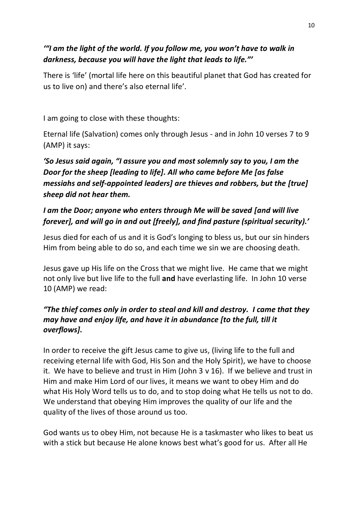#### *'"I am the light of the world. If you follow me, you won't have to walk in darkness, because you will have the light that leads to life."'*

There is 'life' (mortal life here on this beautiful planet that God has created for us to live on) and there's also eternal life'.

I am going to close with these thoughts:

Eternal life (Salvation) comes only through Jesus - and in John 10 verses 7 to 9 (AMP) it says:

## *'So Jesus said again, "I assure you and most solemnly say to you, I am the Door for the sheep [leading to life]. All who came before Me [as false messiahs and self-appointed leaders] are thieves and robbers, but the [true] sheep did not hear them.*

#### *I am the Door; anyone who enters through Me will be saved [and will live forever], and will go in and out [freely], and find pasture (spiritual security).'*

Jesus died for each of us and it is God's longing to bless us, but our sin hinders Him from being able to do so, and each time we sin we are choosing death.

Jesus gave up His life on the Cross that we might live. He came that we might not only live but live life to the full **and** have everlasting life. In John 10 verse 10 (AMP) we read:

#### *"The thief comes only in order to steal and kill and destroy. I came that they may have and enjoy life, and have it in abundance [to the full, till it overflows].*

In order to receive the gift Jesus came to give us, (living life to the full and receiving eternal life with God, His Son and the Holy Spirit), we have to choose it. We have to believe and trust in Him (John 3 v 16). If we believe and trust in Him and make Him Lord of our lives, it means we want to obey Him and do what His Holy Word tells us to do, and to stop doing what He tells us not to do. We understand that obeying Him improves the quality of our life and the quality of the lives of those around us too.

God wants us to obey Him, not because He is a taskmaster who likes to beat us with a stick but because He alone knows best what's good for us. After all He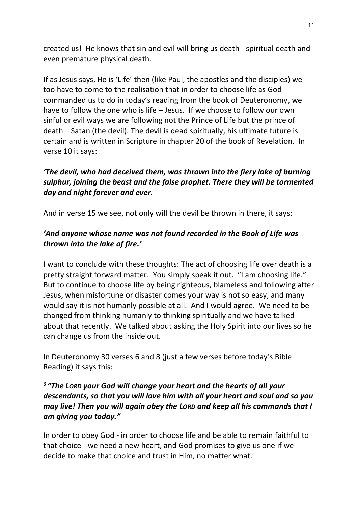created us! He knows that sin and evil will bring us death - spiritual death and even premature physical death.

If as Jesus says, He is 'Life' then (like Paul, the apostles and the disciples) we too have to come to the realisation that in order to choose life as God commanded us to do in today's reading from the book of Deuteronomy, we have to follow the one who is life – Jesus. If we choose to follow our own sinful or evil ways we are following not the Prince of Life but the prince of death – Satan (the devil). The devil is dead spiritually, his ultimate future is certain and is written in Scripture in chapter 20 of the book of Revelation. In verse 10 it says:

#### *'The devil, who had deceived them, was thrown into the fiery lake of burning sulphur, joining the beast and the false prophet. There they will be tormented day and night forever and ever.*

And in verse 15 we see, not only will the devil be thrown in there, it says:

## *'And anyone whose name was not found recorded in the Book of Life was thrown into the lake of fire.'*

I want to conclude with these thoughts: The act of choosing life over death is a pretty straight forward matter. You simply speak it out. "I am choosing life." But to continue to choose life by being righteous, blameless and following after Jesus, when misfortune or disaster comes your way is not so easy, and many would say it is not humanly possible at all. And I would agree. We need to be changed from thinking humanly to thinking spiritually and we have talked about that recently. We talked about asking the Holy Spirit into our lives so he can change us from the inside out.

In Deuteronomy 30 verses 6 and 8 (just a few verses before today's Bible Reading) it says this:

#### *6 "The LORD your God will change your heart and the hearts of all your descendants, so that you will love him with all your heart and soul and so you may live! Then you will again obey the LORD and keep all his commands that I am giving you today."*

In order to obey God - in order to choose life and be able to remain faithful to that choice - we need a new heart, and God promises to give us one if we decide to make that choice and trust in Him, no matter what.